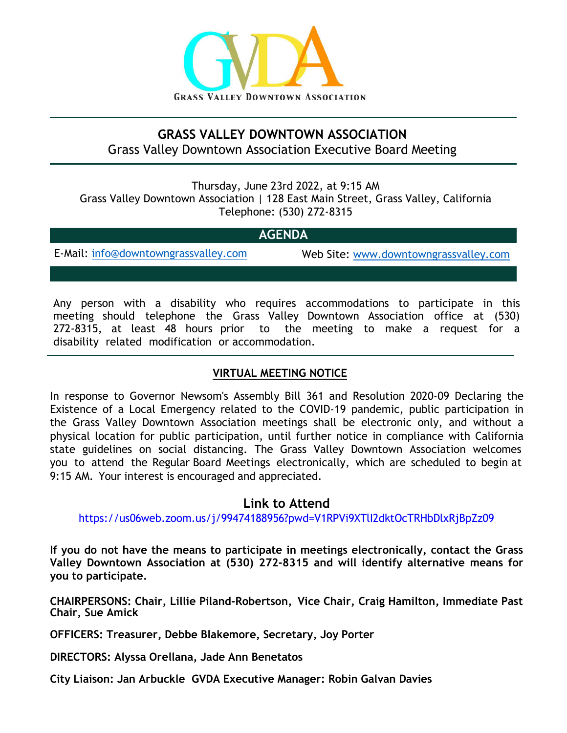

# **GRASS VALLEY DOWNTOWN ASSOCIATION**  Grass Valley Downtown Association Executive Board Meeting

Thursday, June 23rd 2022, at 9:15 AM Grass Valley Downtown Association | 128 East Main Street, Grass Valley, California Telephone: (530) 272-8315

## **AGENDA**

E-Mail: [info@downtowngrassvalley.com](mailto:info@downtowngrassvalley.com) Web Site: [www.downtowngrassvalley.com](http://www.downtowngrassvalley.com/)

Any person with a disability who requires accommodations to participate in this meeting should telephone the Grass Valley Downtown Association office at (530) 272-8315, at least 48 hours prior to the meeting to make a request for a disability related modification or accommodation.

## **VIRTUAL MEETING NOTICE**

In response to Governor Newsom's Assembly Bill 361 and Resolution 2020-09 Declaring the Existence of a Local Emergency related to the COVID-19 pandemic, public participation in the Grass Valley Downtown Association meetings shall be electronic only, and without a physical location for public participation, until further notice in compliance with California state guidelines on social distancing. The Grass Valley Downtown Association welcomes you to attend the Regular Board Meetings electronically, which are scheduled to begin at 9:15 AM. Your interest is encouraged and appreciated.

### **Link to Attend**

[https://us06web.zoom.us/j/99474188956?pwd=V1RPVi9XTlI2dktOcTRHbDlxRjBpZz09](https://us06web.zoom.us/meeting/register/tZcpcu2vpzsvGdB-2SCxe3DDsBcBA-Y2LiC-)

**If you do not have the means to participate in meetings electronically, contact the Grass Valley Downtown Association at (530) 272-8315 and will identify alternative means for you to participate.**

**CHAIRPERSONS: Chair, Lillie Piland-Robertson, Vice Chair, Craig Hamilton, Immediate Past Chair, Sue Amick**

**OFFICERS: Treasurer, Debbe Blakemore, Secretary, Joy Porter**

**DIRECTORS: Alyssa Orellana, Jade Ann Benetatos**

**City Liaison: Jan Arbuckle GVDA Executive Manager: Robin Galvan Davies**